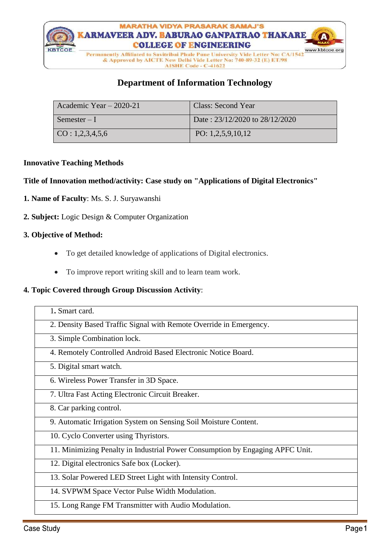

# **Department of Information Technology**

| Academic Year - 2020-21  | Class: Second Year                 |
|--------------------------|------------------------------------|
| Semester – I             | Date: $23/12/2020$ to $28/12/2020$ |
| $\vert$ CO : 1,2,3,4,5,6 | PO: $1,2,5,9,10,12$                |

#### **Innovative Teaching Methods**

#### **Title of Innovation method/activity: Case study on "Applications of Digital Electronics"**

- **1. Name of Faculty**: Ms. S. J. Suryawanshi
- **2. Subject:** Logic Design & Computer Organization

#### **3. Objective of Method:**

- To get detailed knowledge of applications of Digital electronics.
- To improve report writing skill and to learn team work.

#### **4. Topic Covered through Group Discussion Activity**:

| 1. Smart card.                                                                |
|-------------------------------------------------------------------------------|
| 2. Density Based Traffic Signal with Remote Override in Emergency.            |
| 3. Simple Combination lock.                                                   |
| 4. Remotely Controlled Android Based Electronic Notice Board.                 |
| 5. Digital smart watch.                                                       |
| 6. Wireless Power Transfer in 3D Space.                                       |
| 7. Ultra Fast Acting Electronic Circuit Breaker.                              |
| 8. Car parking control.                                                       |
| 9. Automatic Irrigation System on Sensing Soil Moisture Content.              |
| 10. Cyclo Converter using Thyristors.                                         |
| 11. Minimizing Penalty in Industrial Power Consumption by Engaging APFC Unit. |
| 12. Digital electronics Safe box (Locker).                                    |
| 13. Solar Powered LED Street Light with Intensity Control.                    |
| 14. SVPWM Space Vector Pulse Width Modulation.                                |
| 15. Long Range FM Transmitter with Audio Modulation.                          |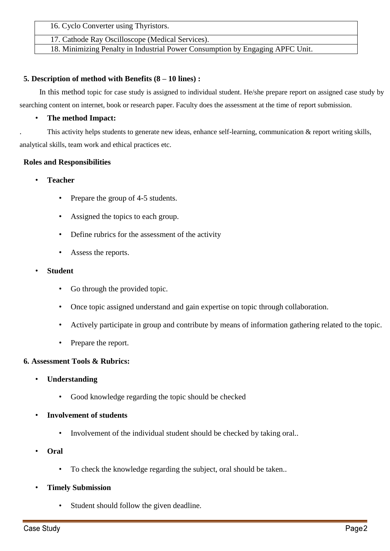16. Cyclo Converter using Thyristors.

17. Cathode Ray Oscilloscope (Medical Services).

18. Minimizing Penalty in Industrial Power Consumption by Engaging APFC Unit.

### **5. Description of method with Benefits (8 – 10 lines) :**

In this method topic for case study is assigned to individual student. He/she prepare report on assigned case study by searching content on internet, book or research paper. Faculty does the assessment at the time of report submission.

### • **The method Impact:**

. This activity helps students to generate new ideas, enhance self-learning, communication & report writing skills, analytical skills, team work and ethical practices etc.

### **Roles and Responsibilities**

- **Teacher**
	- Prepare the group of 4-5 students.
	- Assigned the topics to each group.
	- Define rubrics for the assessment of the activity
	- Assess the reports.
- **Student**
	- Go through the provided topic.
	- Once topic assigned understand and gain expertise on topic through collaboration.
	- Actively participate in group and contribute by means of information gathering related to the topic.
	- Prepare the report.

## **6. Assessment Tools & Rubrics:**

- **Understanding**
	- Good knowledge regarding the topic should be checked
- **Involvement of students** 
	- Involvement of the individual student should be checked by taking oral..
- **Oral**
	- To check the knowledge regarding the subject, oral should be taken..
- **Timely Submission**
	- Student should follow the given deadline.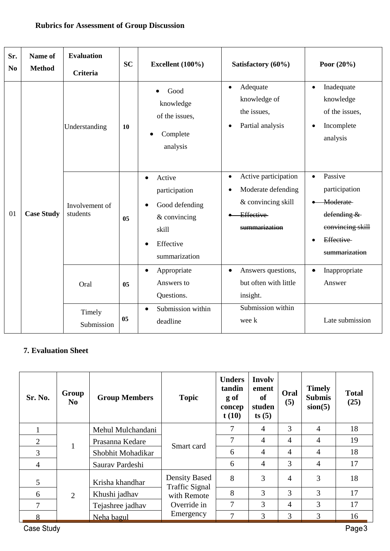| Sr.<br>N <sub>0</sub> | Name of<br><b>Method</b> | <b>Evaluation</b><br><b>Criteria</b> | <b>SC</b>      | Excellent (100%)                                                                                              | Satisfactory (60%)                                                                                                 | Poor $(20\%)$                                                                                                      |
|-----------------------|--------------------------|--------------------------------------|----------------|---------------------------------------------------------------------------------------------------------------|--------------------------------------------------------------------------------------------------------------------|--------------------------------------------------------------------------------------------------------------------|
|                       |                          | Understanding                        | 10             | Good<br>knowledge<br>of the issues,<br>Complete<br>analysis                                                   | Adequate<br>$\bullet$<br>knowledge of<br>the issues,<br>Partial analysis<br>$\bullet$                              | Inadequate<br>$\bullet$<br>knowledge<br>of the issues,<br>Incomplete<br>analysis                                   |
| 01                    | <b>Case Study</b>        | Involvement of<br>students           | 0 <sub>5</sub> | Active<br>$\bullet$<br>participation<br>Good defending<br>& convincing<br>skill<br>Effective<br>summarization | Active participation<br>$\bullet$<br>Moderate defending<br>& convincing skill<br><b>Effective</b><br>summarization | Passive<br>$\bullet$<br>participation<br>Moderate<br>defending &<br>convincing skill<br>Effective<br>summarization |
|                       |                          | Oral                                 | 0 <sub>5</sub> | Appropriate<br>$\bullet$<br>Answers to<br>Questions.                                                          | Answers questions,<br>$\bullet$<br>but often with little<br>insight.                                               | Inappropriate<br>Answer                                                                                            |
|                       |                          | Timely<br>Submission                 | 05             | Submission within<br>deadline                                                                                 | Submission within<br>wee k                                                                                         | Late submission                                                                                                    |

## **Rubrics for Assessment of Group Discussion**

# **7. Evaluation Sheet**

| Sr. No.        | Group<br>N <sub>0</sub> | <b>Group Members</b> | <b>Topic</b>                                  | <b>Unders</b><br>tandin<br>g of<br>concep<br>t(10) | <b>Involv</b><br>ement<br><b>of</b><br>studen<br>ts(5) | Oral<br>(5)    | <b>Timely</b><br><b>Submis</b><br>sion(5) | <b>Total</b><br>(25) |
|----------------|-------------------------|----------------------|-----------------------------------------------|----------------------------------------------------|--------------------------------------------------------|----------------|-------------------------------------------|----------------------|
|                |                         | Mehul Mulchandani    |                                               | $\tau$                                             | $\overline{4}$                                         | 3              | $\overline{4}$                            | 18                   |
| $\overline{2}$ | 1                       | Prasanna Kedare      | Smart card                                    | 7                                                  | 4                                                      | 4              | $\overline{4}$                            | 19                   |
| 3              |                         | Shobhit Mohadikar    |                                               | 6                                                  | 4                                                      | 4              | $\overline{4}$                            | 18                   |
| $\overline{4}$ |                         | Saurav Pardeshi      |                                               | 6                                                  | 4                                                      | 3              | $\overline{4}$                            | 17                   |
| 5              |                         | Krisha khandhar      | <b>Density Based</b><br><b>Traffic Signal</b> | 8                                                  | 3                                                      | 4              | 3                                         | 18                   |
| 6              | 2                       | Khushi jadhav        | with Remote                                   | 8                                                  | 3                                                      | 3              | 3                                         | 17                   |
| 7              |                         | Tejashree jadhav     | Override in                                   | 7                                                  | 3                                                      | $\overline{4}$ | 3                                         | 17                   |
| 8              |                         | Neha bagul           | Emergency                                     | 7                                                  | 3                                                      | 3              | 3                                         | 16                   |

Case Study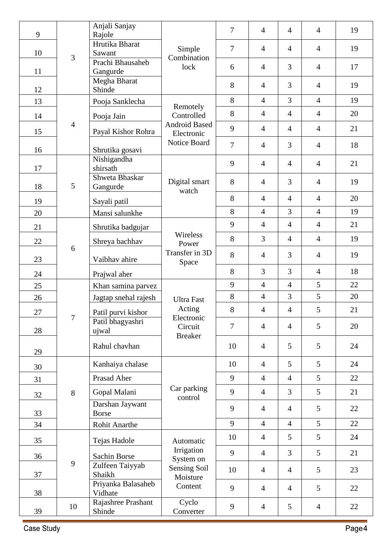| 9      |                | Anjali Sanjay<br>Rajole         |                                         | 7              | $\overline{4}$ | $\overline{4}$  | $\overline{4}$  | 19 |
|--------|----------------|---------------------------------|-----------------------------------------|----------------|----------------|-----------------|-----------------|----|
| 10     | $\overline{3}$ | Hrutika Bharat<br>Sawant        | Simple<br>Combination                   | $\overline{7}$ | $\overline{4}$ | $\overline{4}$  | $\overline{4}$  | 19 |
| 11     |                | Prachi Bhausaheb<br>Gangurde    | lock                                    | 6              | $\overline{4}$ | 3               | $\overline{4}$  | 17 |
| 12     |                | Megha Bharat<br>Shinde          |                                         | 8              | $\overline{4}$ | $\overline{3}$  | $\overline{4}$  | 19 |
| 13     |                | Pooja Sanklecha                 | Remotely                                | 8              | $\overline{4}$ | 3               | $\overline{4}$  | 19 |
| 14     |                | Pooja Jain                      | Controlled                              | 8              | $\overline{4}$ | $\overline{4}$  | $\overline{4}$  | 20 |
| 15     | $\overline{4}$ | Payal Kishor Rohra              | <b>Android Based</b><br>Electronic      | 9              | $\overline{4}$ | $\overline{4}$  | $\overline{4}$  | 21 |
| 16     |                | Shrutika gosavi                 | Notice Board                            | $\overline{7}$ | $\overline{4}$ | 3               | $\overline{4}$  | 18 |
| 17     |                | Nishigandha<br>shirsath         |                                         | 9              | $\overline{4}$ | $\overline{4}$  | $\overline{4}$  | 21 |
| 18     | 5              | Shweta Bhaskar<br>Gangurde      | Digital smart<br>watch                  | 8              | $\overline{4}$ | 3               | $\overline{4}$  | 19 |
| 19     |                | Sayali patil                    |                                         | 8              | $\overline{4}$ | $\overline{4}$  | $\overline{4}$  | 20 |
| 20     |                | Mansi salunkhe                  |                                         | 8              | $\overline{4}$ | $\overline{3}$  | $\overline{4}$  | 19 |
| 21     |                | Shrutika badgujar               |                                         | 9              | $\overline{4}$ | $\overline{4}$  | $\overline{4}$  | 21 |
| 22     |                | Shreya bachhav                  | Wireless<br>Power                       | 8              | $\overline{3}$ | $\overline{4}$  | $\overline{4}$  | 19 |
| 23     | 6              | Vaibhav ahire                   | Transfer in 3D<br>Space                 | 8              | $\overline{4}$ | 3               | $\overline{4}$  | 19 |
| 24     |                | Prajwal aher                    |                                         | 8              | 3              | 3               | $\overline{4}$  | 18 |
| 25     |                | Khan samina parvez              |                                         | 9              | $\overline{4}$ | $\overline{4}$  | 5               | 22 |
| 26     |                | Jagtap snehal rajesh            | <b>Ultra Fast</b>                       | 8              | $\overline{4}$ | 3               | 5               | 20 |
| $27\,$ |                | Patil purvi kishor              | Acting                                  | 8              | $\overline{4}$ | $\overline{4}$  | 5               | 21 |
| 28     | $\tau$         | Patil bhagyashri<br>ujwal       | Electronic<br>Circuit<br><b>Breaker</b> | 7              | $\overline{4}$ | $\overline{4}$  | 5               | 20 |
| 29     |                | Rahul chavhan                   |                                         | 10             | $\overline{4}$ | 5               | 5               | 24 |
| 30     |                | Kanhaiya chalase                |                                         | 10             | $\overline{4}$ | $5\overline{)}$ | $5\overline{)}$ | 24 |
| 31     |                | Prasad Aher                     |                                         | 9              | $\overline{4}$ | $\overline{4}$  | 5               | 22 |
| 32     | 8              | Gopal Malani                    | Car parking<br>control                  | 9              | $\overline{4}$ | $\overline{3}$  | 5               | 21 |
| 33     |                | Darshan Jaywant<br><b>Borse</b> |                                         | 9              | $\overline{4}$ | $\overline{4}$  | 5               | 22 |
| 34     |                | Rohit Anarthe                   |                                         | 9              | $\overline{4}$ | $\overline{4}$  | 5               | 22 |
| 35     |                | Tejas Hadole                    | Automatic                               | 10             | $\overline{4}$ | 5               | 5               | 24 |
| 36     |                | <b>Sachin Borse</b>             | Irrigation<br>System on                 | 9              | $\overline{4}$ | $\overline{3}$  | 5               | 21 |
| 37     | 9              | Zulfeen Taiyyab<br>Shaikh       | <b>Sensing Soil</b><br>Moisture         | 10             | $\overline{4}$ | $\overline{4}$  | 5               | 23 |
| 38     |                | Priyanka Balasaheb<br>Vidhate   | Content                                 | 9              | $\overline{4}$ | $\overline{4}$  | 5               | 22 |
| 39     | 10             | Rajashree Prashant<br>Shinde    | Cyclo<br>Converter                      | 9              | $\overline{4}$ | 5               | $\overline{4}$  | 22 |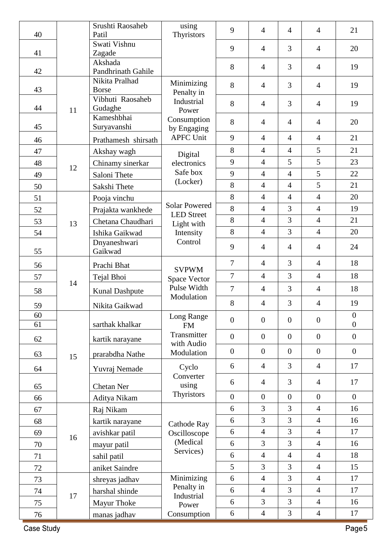| 40 |    | Srushti Raosaheb<br>Patil                   | using<br>Thyristors                 | 9                | $\overline{4}$   | $\overline{4}$                   | $\overline{4}$ | 21               |
|----|----|---------------------------------------------|-------------------------------------|------------------|------------------|----------------------------------|----------------|------------------|
|    |    | Swati Vishnu                                |                                     |                  |                  |                                  |                |                  |
| 41 |    | Zagade                                      |                                     | 9                | $\overline{4}$   | $\overline{3}$                   | $\overline{4}$ | 20               |
|    |    | Akshada                                     |                                     | 8                | $\overline{4}$   | $\overline{3}$                   | $\overline{4}$ | 19               |
| 42 |    | <b>Pandhrinath Gahile</b><br>Nikita Pralhad |                                     |                  |                  |                                  |                |                  |
| 43 |    | <b>Borse</b>                                | Minimizing<br>Penalty in            | 8                | $\overline{4}$   | 3                                | $\overline{4}$ | 19               |
|    |    | Vibhuti Raosaheb                            | Industrial                          | 8                | $\overline{4}$   | 3                                | $\overline{4}$ | 19               |
| 44 | 11 | Gudaghe                                     | Power                               |                  |                  |                                  |                |                  |
| 45 |    | Kameshbhai<br>Suryavanshi                   | Consumption                         | 8                | $\overline{4}$   | $\overline{4}$                   | $\overline{4}$ | 20               |
|    |    |                                             | by Engaging<br><b>APFC Unit</b>     | 9                | $\overline{4}$   | $\overline{4}$                   | $\overline{4}$ | 21               |
| 46 |    | Prathamesh shirsath                         |                                     | 8                | $\overline{4}$   | $\overline{4}$                   | 5              | 21               |
| 47 |    | Akshay wagh                                 | Digital                             | 9                | $\overline{4}$   | 5                                | 5              | 23               |
| 48 | 12 | Chinamy sinerkar                            | electronics<br>Safe box             | 9                | $\overline{4}$   | $\overline{4}$                   | 5              | 22               |
| 49 |    | Saloni Thete                                | (Locker)                            | 8                | $\overline{4}$   | $\overline{4}$                   | 5              | 21               |
| 50 |    | Sakshi Thete                                |                                     | 8                |                  |                                  | $\overline{4}$ |                  |
| 51 |    | Pooja vinchu                                | <b>Solar Powered</b>                | 8                | $\overline{4}$   | $\overline{4}$<br>$\overline{3}$ |                | 20               |
| 52 |    | Prajakta wankhede                           | <b>LED</b> Street                   |                  | $\overline{4}$   |                                  | $\overline{4}$ | 19               |
| 53 | 13 | Chetana Chaudhari                           | Light with                          | 8                | $\overline{4}$   | $\overline{3}$                   | $\overline{4}$ | 21               |
| 54 |    | Ishika Gaikwad                              | Intensity<br>Control                | 8                | $\overline{4}$   | $\overline{3}$                   | $\overline{4}$ | 20               |
| 55 |    | Dnyaneshwari<br>Gaikwad                     |                                     | 9                | $\overline{4}$   | $\overline{4}$                   | $\overline{4}$ | 24               |
| 56 |    | Prachi Bhat                                 |                                     | $\overline{7}$   | $\overline{4}$   | $\overline{3}$                   | $\overline{4}$ | 18               |
| 57 |    | Tejal Bhoi                                  | <b>SVPWM</b><br><b>Space Vector</b> | $\overline{7}$   | $\overline{4}$   | 3                                | $\overline{4}$ | 18               |
| 58 | 14 | <b>Kunal Dashpute</b>                       | Pulse Width                         | $\overline{7}$   | $\overline{4}$   | 3                                | $\overline{4}$ | 18               |
| 59 |    | Nikita Gaikwad                              | Modulation                          | 8                | $\overline{4}$   | 3                                | $\overline{4}$ | 19               |
| 60 |    |                                             | Long Range                          | $\overline{0}$   | $\mathbf{0}$     | $\boldsymbol{0}$                 | $\overline{0}$ | $\boldsymbol{0}$ |
| 61 |    | sarthak khalkar                             | <b>FM</b>                           |                  |                  |                                  |                | $\boldsymbol{0}$ |
| 62 |    | kartik narayane                             | Transmitter<br>with Audio           | $\overline{0}$   | $\mathbf{0}$     | $\boldsymbol{0}$                 | $\overline{0}$ | $\boldsymbol{0}$ |
| 63 | 15 | prarabdha Nathe                             | Modulation                          | $\boldsymbol{0}$ | $\boldsymbol{0}$ | $\boldsymbol{0}$                 | $\overline{0}$ | $\boldsymbol{0}$ |
| 64 |    | Yuvraj Nemade                               | Cyclo                               | 6                | $\overline{4}$   | 3                                | $\overline{4}$ | 17               |
| 65 |    | Chetan Ner                                  | Converter<br>using                  | 6                | $\overline{4}$   | 3                                | $\overline{4}$ | 17               |
| 66 |    | Aditya Nikam                                | Thyristors                          | $\overline{0}$   | $\boldsymbol{0}$ | $\overline{0}$                   | $\overline{0}$ | $\overline{0}$   |
| 67 |    | Raj Nikam                                   |                                     | 6                | 3                | $\overline{3}$                   | $\overline{4}$ | 16               |
| 68 |    | kartik narayane                             |                                     | 6                | 3                | $\overline{3}$                   | $\overline{4}$ | 16               |
| 69 |    | avishkar patil                              | Cathode Ray<br>Oscilloscope         | 6                | $\overline{4}$   | $\overline{3}$                   | $\overline{4}$ | 17               |
| 70 | 16 | mayur patil                                 | (Medical                            | 6                | 3                | $\overline{3}$                   | $\overline{4}$ | 16               |
| 71 |    | sahil patil                                 | Services)                           | 6                | $\overline{4}$   | $\overline{4}$                   | $\overline{4}$ | 18               |
| 72 |    | aniket Saindre                              |                                     | 5                | 3                | $\overline{3}$                   | $\overline{4}$ | 15               |
| 73 |    | shreyas jadhav                              | Minimizing                          | 6                | $\overline{4}$   | $\overline{3}$                   | $\overline{4}$ | 17               |
| 74 |    | harshal shinde                              | Penalty in                          | 6                | $\overline{4}$   | 3                                | $\overline{4}$ | 17               |
| 75 | 17 | Mayur Thoke                                 | Industrial                          | 6                | $\overline{3}$   | $\overline{3}$                   | $\overline{4}$ | 16               |
| 76 |    | manas jadhav                                | Power<br>Consumption                | 6                | $\overline{4}$   | 3                                | $\overline{4}$ | 17               |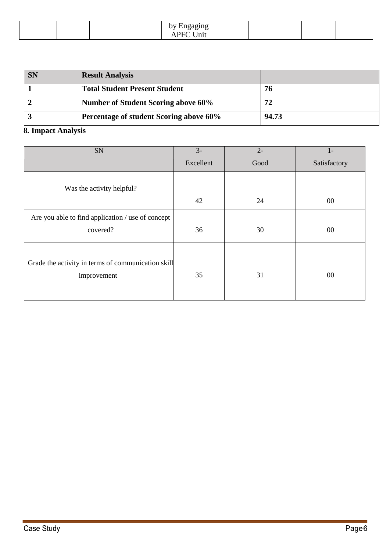|  |  | –<br>$\sim$ $\sim$ 1 10 $\alpha$<br>ے<br>. .<br>$\ln t$<br>1 Y T |  |  |  |  |  |
|--|--|------------------------------------------------------------------|--|--|--|--|--|
|--|--|------------------------------------------------------------------|--|--|--|--|--|

| <b>SN</b> | <b>Result Analysis</b>                     |       |
|-----------|--------------------------------------------|-------|
|           | <b>Total Student Present Student</b>       | 76    |
|           | <b>Number of Student Scoring above 60%</b> | 72    |
|           | Percentage of student Scoring above 60%    | 94.73 |

# **8. Impact Analysis**

| SN                                                                | $3-$      | $2 -$ | $1-$         |
|-------------------------------------------------------------------|-----------|-------|--------------|
|                                                                   | Excellent | Good  | Satisfactory |
| Was the activity helpful?                                         |           |       |              |
|                                                                   | 42        | 24    | $00\,$       |
| Are you able to find application / use of concept<br>covered?     | 36        | 30    | $00\,$       |
| Grade the activity in terms of communication skill<br>improvement | 35        | 31    | $00\,$       |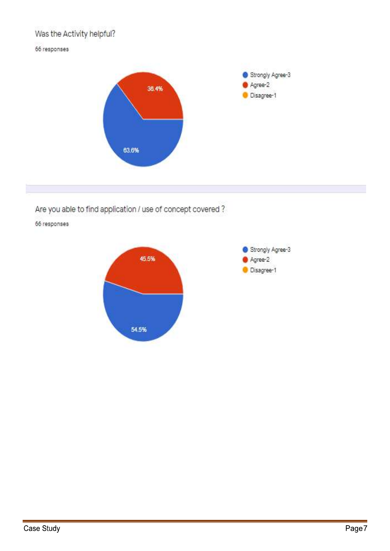# Was the Activity helpful?

#### 66 responses



Are you able to find application / use of concept covered?

66 responses

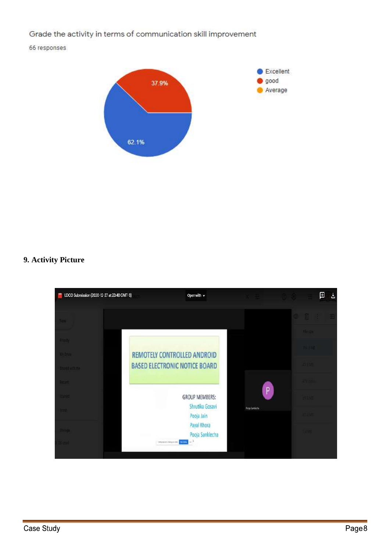Grade the activity in terms of communication skill improvement

66 responses



## 9. Activity Picture